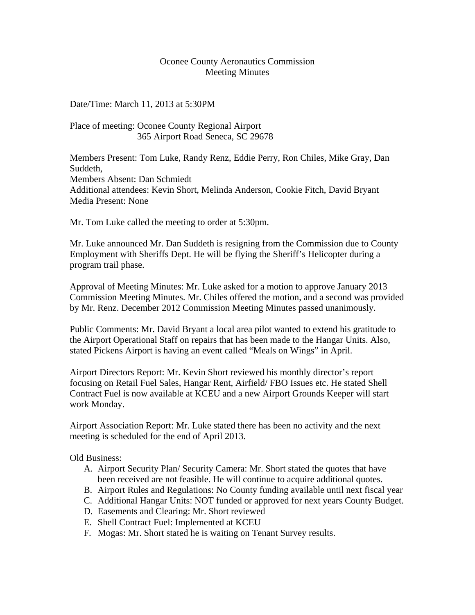## Oconee County Aeronautics Commission Meeting Minutes

Date/Time: March 11, 2013 at 5:30PM

Place of meeting: Oconee County Regional Airport 365 Airport Road Seneca, SC 29678

Members Present: Tom Luke, Randy Renz, Eddie Perry, Ron Chiles, Mike Gray, Dan Suddeth, Members Absent: Dan Schmiedt Additional attendees: Kevin Short, Melinda Anderson, Cookie Fitch, David Bryant Media Present: None

Mr. Tom Luke called the meeting to order at 5:30pm.

Mr. Luke announced Mr. Dan Suddeth is resigning from the Commission due to County Employment with Sheriffs Dept. He will be flying the Sheriff's Helicopter during a program trail phase.

Approval of Meeting Minutes: Mr. Luke asked for a motion to approve January 2013 Commission Meeting Minutes. Mr. Chiles offered the motion, and a second was provided by Mr. Renz. December 2012 Commission Meeting Minutes passed unanimously.

Public Comments: Mr. David Bryant a local area pilot wanted to extend his gratitude to the Airport Operational Staff on repairs that has been made to the Hangar Units. Also, stated Pickens Airport is having an event called "Meals on Wings" in April.

Airport Directors Report: Mr. Kevin Short reviewed his monthly director's report focusing on Retail Fuel Sales, Hangar Rent, Airfield/ FBO Issues etc. He stated Shell Contract Fuel is now available at KCEU and a new Airport Grounds Keeper will start work Monday.

Airport Association Report: Mr. Luke stated there has been no activity and the next meeting is scheduled for the end of April 2013.

Old Business:

- A. Airport Security Plan/ Security Camera: Mr. Short stated the quotes that have been received are not feasible. He will continue to acquire additional quotes.
- B. Airport Rules and Regulations: No County funding available until next fiscal year
- C. Additional Hangar Units: NOT funded or approved for next years County Budget.
- D. Easements and Clearing: Mr. Short reviewed
- E. Shell Contract Fuel: Implemented at KCEU
- F. Mogas: Mr. Short stated he is waiting on Tenant Survey results.